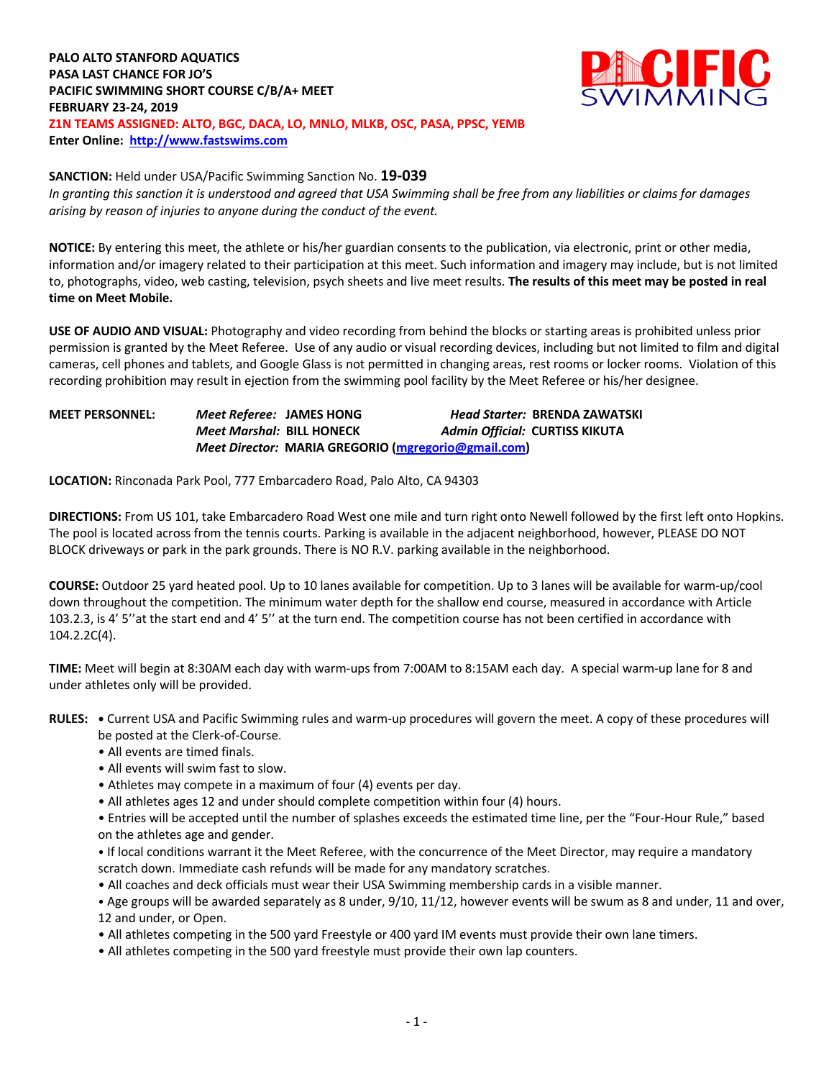# **PALO ALTO STANFORD AQUATICS PASA LAST CHANCE FOR JO'S PACIFIC SWIMMING SHORT COURSE C/B/A+ MEET FEBRUARY 23-24, 2019 Z1N TEAMS ASSIGNED: ALTO, BGC, DACA, LO, MNLO, MLKB, OSC, PASA, PPSC, YEMB Enter Online: http://www.fastswims.com**



#### **SANCTION:** Held under USA/Pacific Swimming Sanction No. **19-039**

*In granting this sanction it is understood and agreed that USA Swimming shall be free from any liabilities or claims for damages arising by reason of injuries to anyone during the conduct of the event.* 

**NOTICE:** By entering this meet, the athlete or his/her guardian consents to the publication, via electronic, print or other media, information and/or imagery related to their participation at this meet. Such information and imagery may include, but is not limited to, photographs, video, web casting, television, psych sheets and live meet results. **The results of this meet may be posted in real time on Meet Mobile.**

**USE OF AUDIO AND VISUAL:** Photography and video recording from behind the blocks or starting areas is prohibited unless prior permission is granted by the Meet Referee. Use of any audio or visual recording devices, including but not limited to film and digital cameras, cell phones and tablets, and Google Glass is not permitted in changing areas, rest rooms or locker rooms. Violation of this recording prohibition may result in ejection from the swimming pool facility by the Meet Referee or his/her designee.

# **MEET PERSONNEL:** *Meet Referee:* **JAMES HONG** *Head Starter:* **BRENDA ZAWATSKI** *Meet Marshal:* **BILL HONECK** *Admin Official:* **CURTISS KIKUTA** *Meet Director:* **MARIA GREGORIO (mgregorio@gmail.com)**

**LOCATION:** Rinconada Park Pool, 777 Embarcadero Road, Palo Alto, CA 94303

**DIRECTIONS:** From US 101, take Embarcadero Road West one mile and turn right onto Newell followed by the first left onto Hopkins. The pool is located across from the tennis courts. Parking is available in the adjacent neighborhood, however, PLEASE DO NOT BLOCK driveways or park in the park grounds. There is NO R.V. parking available in the neighborhood.

**COURSE:** Outdoor 25 yard heated pool. Up to 10 lanes available for competition. Up to 3 lanes will be available for warm-up/cool down throughout the competition. The minimum water depth for the shallow end course, measured in accordance with Article 103.2.3, is 4' 5''at the start end and 4' 5'' at the turn end. The competition course has not been certified in accordance with 104.2.2C(4).

**TIME:** Meet will begin at 8:30AM each day with warm-ups from 7:00AM to 8:15AM each day. A special warm-up lane for 8 and under athletes only will be provided.

**RULES: •** Current USA and Pacific Swimming rules and warm-up procedures will govern the meet. A copy of these procedures will be posted at the Clerk-of-Course.

- All events are timed finals.
- All events will swim fast to slow.
- Athletes may compete in a maximum of four (4) events per day.
- All athletes ages 12 and under should complete competition within four (4) hours.

• Entries will be accepted until the number of splashes exceeds the estimated time line, per the "Four-Hour Rule," based on the athletes age and gender.

• If local conditions warrant it the Meet Referee, with the concurrence of the Meet Director, may require a mandatory scratch down. Immediate cash refunds will be made for any mandatory scratches.

• All coaches and deck officials must wear their USA Swimming membership cards in a visible manner.

• Age groups will be awarded separately as 8 under, 9/10, 11/12, however events will be swum as 8 and under, 11 and over, 12 and under, or Open.

• All athletes competing in the 500 yard Freestyle or 400 yard IM events must provide their own lane timers.

• All athletes competing in the 500 yard freestyle must provide their own lap counters.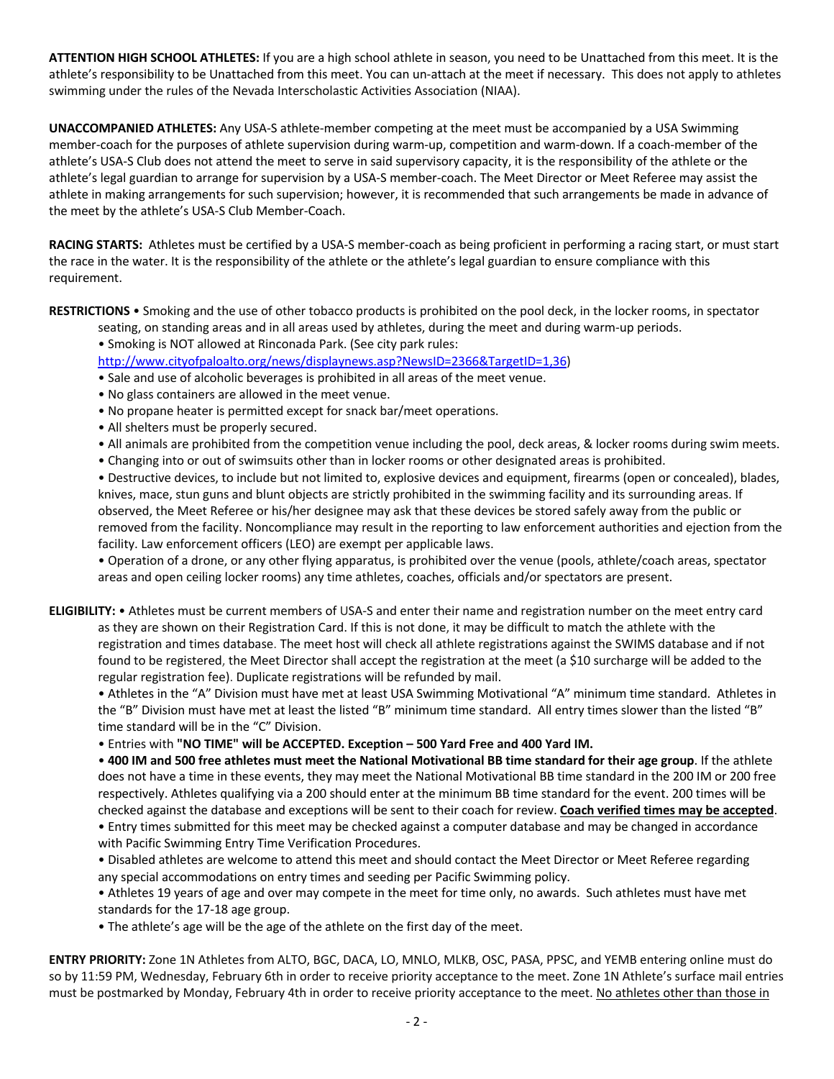**ATTENTION HIGH SCHOOL ATHLETES:** If you are a high school athlete in season, you need to be Unattached from this meet. It is the athlete's responsibility to be Unattached from this meet. You can un-attach at the meet if necessary. This does not apply to athletes swimming under the rules of the Nevada Interscholastic Activities Association (NIAA).

**UNACCOMPANIED ATHLETES:** Any USA-S athlete-member competing at the meet must be accompanied by a USA Swimming member-coach for the purposes of athlete supervision during warm-up, competition and warm-down. If a coach-member of the athlete's USA-S Club does not attend the meet to serve in said supervisory capacity, it is the responsibility of the athlete or the athlete's legal guardian to arrange for supervision by a USA-S member-coach. The Meet Director or Meet Referee may assist the athlete in making arrangements for such supervision; however, it is recommended that such arrangements be made in advance of the meet by the athlete's USA-S Club Member-Coach.

**RACING STARTS:** Athletes must be certified by a USA-S member-coach as being proficient in performing a racing start, or must start the race in the water. It is the responsibility of the athlete or the athlete's legal guardian to ensure compliance with this requirement.

**RESTRICTIONS** • Smoking and the use of other tobacco products is prohibited on the pool deck, in the locker rooms, in spectator

- seating, on standing areas and in all areas used by athletes, during the meet and during warm-up periods.
- Smoking is NOT allowed at Rinconada Park. (See city park rules:

http://www.cityofpaloalto.org/news/displaynews.asp?NewsID=2366&TargetID=1,36)

• Sale and use of alcoholic beverages is prohibited in all areas of the meet venue.

- No glass containers are allowed in the meet venue.
- No propane heater is permitted except for snack bar/meet operations.
- All shelters must be properly secured.
- All animals are prohibited from the competition venue including the pool, deck areas, & locker rooms during swim meets.
- Changing into or out of swimsuits other than in locker rooms or other designated areas is prohibited.

• Destructive devices, to include but not limited to, explosive devices and equipment, firearms (open or concealed), blades, knives, mace, stun guns and blunt objects are strictly prohibited in the swimming facility and its surrounding areas. If observed, the Meet Referee or his/her designee may ask that these devices be stored safely away from the public or removed from the facility. Noncompliance may result in the reporting to law enforcement authorities and ejection from the facility. Law enforcement officers (LEO) are exempt per applicable laws.

• Operation of a drone, or any other flying apparatus, is prohibited over the venue (pools, athlete/coach areas, spectator areas and open ceiling locker rooms) any time athletes, coaches, officials and/or spectators are present.

**ELIGIBILITY:** • Athletes must be current members of USA-S and enter their name and registration number on the meet entry card as they are shown on their Registration Card. If this is not done, it may be difficult to match the athlete with the registration and times database. The meet host will check all athlete registrations against the SWIMS database and if not found to be registered, the Meet Director shall accept the registration at the meet (a \$10 surcharge will be added to the regular registration fee). Duplicate registrations will be refunded by mail.

• Athletes in the "A" Division must have met at least USA Swimming Motivational "A" minimum time standard. Athletes in the "B" Division must have met at least the listed "B" minimum time standard. All entry times slower than the listed "B" time standard will be in the "C" Division.

• Entries with **"NO TIME" will be ACCEPTED. Exception – 500 Yard Free and 400 Yard IM.**

• **400 IM and 500 free athletes must meet the National Motivational BB time standard for their age group**. If the athlete does not have a time in these events, they may meet the National Motivational BB time standard in the 200 IM or 200 free respectively. Athletes qualifying via a 200 should enter at the minimum BB time standard for the event. 200 times will be checked against the database and exceptions will be sent to their coach for review. **Coach verified times may be accepted**.

• Entry times submitted for this meet may be checked against a computer database and may be changed in accordance with Pacific Swimming Entry Time Verification Procedures.

• Disabled athletes are welcome to attend this meet and should contact the Meet Director or Meet Referee regarding any special accommodations on entry times and seeding per Pacific Swimming policy.

• Athletes 19 years of age and over may compete in the meet for time only, no awards. Such athletes must have met standards for the 17-18 age group.

• The athlete's age will be the age of the athlete on the first day of the meet.

**ENTRY PRIORITY:** Zone 1N Athletes from ALTO, BGC, DACA, LO, MNLO, MLKB, OSC, PASA, PPSC, and YEMB entering online must do so by 11:59 PM, Wednesday, February 6th in order to receive priority acceptance to the meet. Zone 1N Athlete's surface mail entries must be postmarked by Monday, February 4th in order to receive priority acceptance to the meet. No athletes other than those in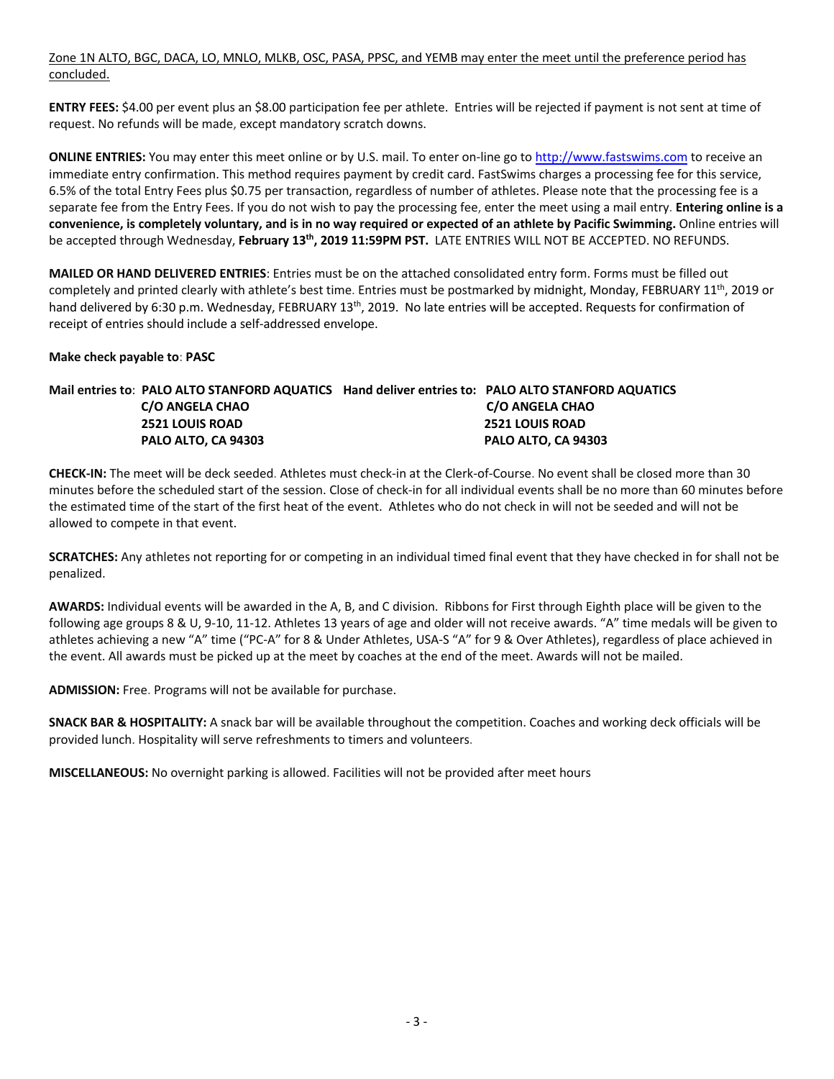Zone 1N ALTO, BGC, DACA, LO, MNLO, MLKB, OSC, PASA, PPSC, and YEMB may enter the meet until the preference period has concluded.

**ENTRY FEES:** \$4.00 per event plus an \$8.00 participation fee per athlete. Entries will be rejected if payment is not sent at time of request. No refunds will be made, except mandatory scratch downs.

**ONLINE ENTRIES:** You may enter this meet online or by U.S. mail. To enter on-line go to http://www.fastswims.com to receive an immediate entry confirmation. This method requires payment by credit card. FastSwims charges a processing fee for this service, 6.5% of the total Entry Fees plus \$0.75 per transaction, regardless of number of athletes. Please note that the processing fee is a separate fee from the Entry Fees. If you do not wish to pay the processing fee, enter the meet using a mail entry. **Entering online is a convenience, is completely voluntary, and is in no way required or expected of an athlete by Pacific Swimming.** Online entries will be accepted through Wednesday, **February 13th, 2019 11:59PM PST.** LATE ENTRIES WILL NOT BE ACCEPTED. NO REFUNDS.

**MAILED OR HAND DELIVERED ENTRIES**: Entries must be on the attached consolidated entry form. Forms must be filled out completely and printed clearly with athlete's best time. Entries must be postmarked by midnight, Monday, FEBRUARY 11<sup>th</sup>, 2019 or hand delivered by 6:30 p.m. Wednesday, FEBRUARY 13<sup>th</sup>, 2019. No late entries will be accepted. Requests for confirmation of receipt of entries should include a self-addressed envelope.

## **Make check payable to**: **PASC**

# **Mail entries to**: **PALO ALTO STANFORD AQUATICS Hand deliver entries to: PALO ALTO STANFORD AQUATICS C/O ANGELA CHAO C/O ANGELA CHAO 2521 LOUIS ROAD 2521 LOUIS ROAD PALO ALTO, CA 94303 PALO ALTO, CA 94303**

**CHECK-IN:** The meet will be deck seeded. Athletes must check-in at the Clerk-of-Course. No event shall be closed more than 30 minutes before the scheduled start of the session. Close of check-in for all individual events shall be no more than 60 minutes before the estimated time of the start of the first heat of the event. Athletes who do not check in will not be seeded and will not be allowed to compete in that event.

**SCRATCHES:** Any athletes not reporting for or competing in an individual timed final event that they have checked in for shall not be penalized.

**AWARDS:** Individual events will be awarded in the A, B, and C division. Ribbons for First through Eighth place will be given to the following age groups 8 & U, 9-10, 11-12. Athletes 13 years of age and older will not receive awards. "A" time medals will be given to athletes achieving a new "A" time ("PC-A" for 8 & Under Athletes, USA-S "A" for 9 & Over Athletes), regardless of place achieved in the event. All awards must be picked up at the meet by coaches at the end of the meet. Awards will not be mailed.

**ADMISSION:** Free. Programs will not be available for purchase.

**SNACK BAR & HOSPITALITY:** A snack bar will be available throughout the competition. Coaches and working deck officials will be provided lunch. Hospitality will serve refreshments to timers and volunteers.

**MISCELLANEOUS:** No overnight parking is allowed. Facilities will not be provided after meet hours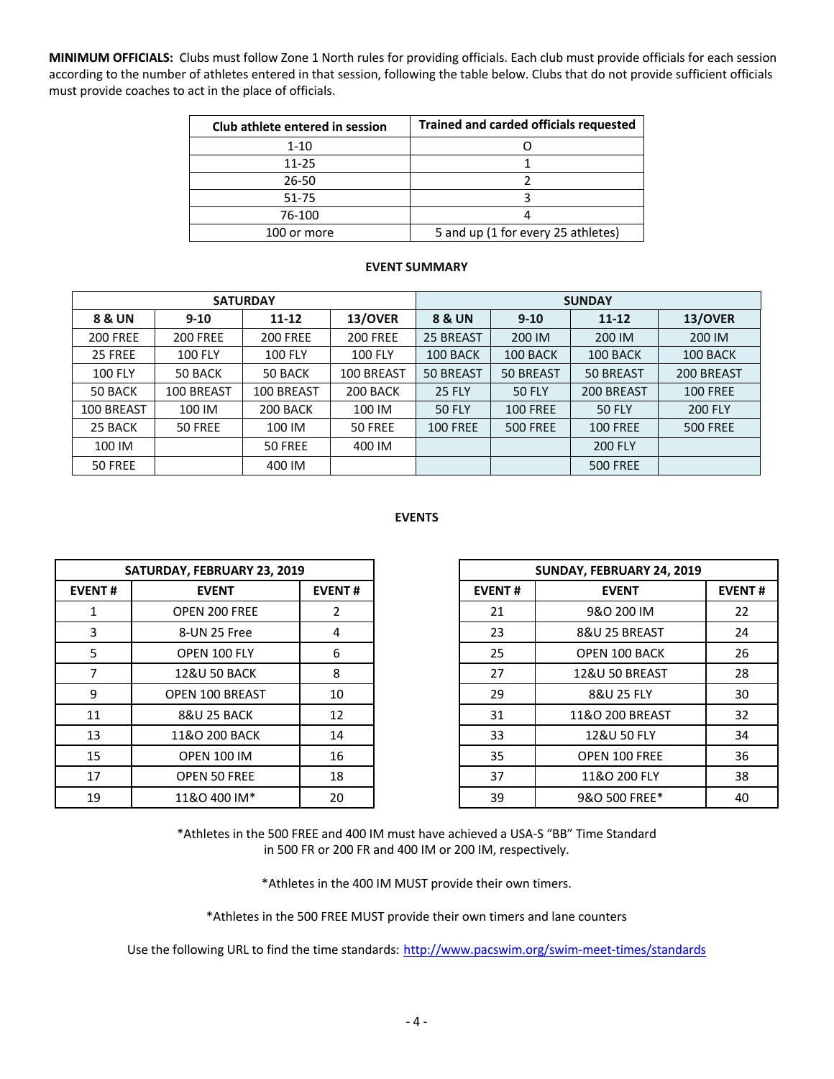**MINIMUM OFFICIALS:** Clubs must follow Zone 1 North rules for providing officials. Each club must provide officials for each session according to the number of athletes entered in that session, following the table below. Clubs that do not provide sufficient officials must provide coaches to act in the place of officials.

| Club athlete entered in session | Trained and carded officials requested |  |  |  |  |  |  |
|---------------------------------|----------------------------------------|--|--|--|--|--|--|
| $1 - 10$                        |                                        |  |  |  |  |  |  |
| 11-25                           |                                        |  |  |  |  |  |  |
| 26-50                           |                                        |  |  |  |  |  |  |
| 51-75                           |                                        |  |  |  |  |  |  |
| 76-100                          |                                        |  |  |  |  |  |  |
| 100 or more                     | 5 and up (1 for every 25 athletes)     |  |  |  |  |  |  |

#### **EVENT SUMMARY**

|                 |                 | <b>SATURDAY</b> |                 | <b>SUNDAY</b>     |                 |                 |                 |  |  |  |
|-----------------|-----------------|-----------------|-----------------|-------------------|-----------------|-----------------|-----------------|--|--|--|
| 8 & UN          | $9 - 10$        | $11 - 12$       | 13/OVER         | <b>8 &amp; UN</b> | $9 - 10$        | $11 - 12$       | 13/OVER         |  |  |  |
| <b>200 FREE</b> | <b>200 FREE</b> | <b>200 FREE</b> | <b>200 FREE</b> | 25 BREAST         | 200 IM          | 200 IM          | 200 IM          |  |  |  |
| 25 FREE         | <b>100 FLY</b>  | <b>100 FLY</b>  | <b>100 FLY</b>  | 100 BACK          | 100 BACK        | 100 BACK        | 100 BACK        |  |  |  |
| <b>100 FLY</b>  | 50 BACK         | 50 BACK         | 100 BREAST      | <b>50 BREAST</b>  | 50 BREAST       | 50 BREAST       | 200 BREAST      |  |  |  |
| 50 BACK         | 100 BREAST      | 100 BREAST      | 200 BACK        | <b>25 FLY</b>     | <b>50 FLY</b>   | 200 BREAST      | <b>100 FREE</b> |  |  |  |
| 100 BREAST      | 100 IM          | 200 BACK        | 100 IM          | <b>50 FLY</b>     | <b>100 FREE</b> | <b>50 FLY</b>   | <b>200 FLY</b>  |  |  |  |
| 25 BACK         | 50 FREE         | 100 IM          | 50 FREE         | <b>100 FREE</b>   | <b>500 FREE</b> | <b>100 FREE</b> | <b>500 FREE</b> |  |  |  |
| 100 IM          |                 | 50 FREE         | 400 IM          |                   |                 | <b>200 FLY</b>  |                 |  |  |  |
| 50 FREE         |                 | 400 IM          |                 |                   |                 | <b>500 FREE</b> |                 |  |  |  |

## **EVENTS**

|               | SATURDAY, FEBRUARY 23, 2019 |               |               | SUNDAY, FEBRUARY 24, 2019 |                           |  |  |
|---------------|-----------------------------|---------------|---------------|---------------------------|---------------------------|--|--|
| <b>EVENT#</b> | <b>EVENT</b>                | <b>EVENT#</b> | <b>EVENT#</b> |                           | <b>EVENT</b>              |  |  |
|               | OPEN 200 FREE               | 2             | 21            |                           | 9&O 200 IM                |  |  |
| 3             | 8-UN 25 Free                | 4             | 23            |                           | 8&U 25 BREAST             |  |  |
| 5             | OPEN 100 FLY                | 6             | 25            |                           | <b>OPEN 100 BACK</b>      |  |  |
| 7             | <b>12&amp;U 50 BACK</b>     | 8             | 27            |                           | <b>12&amp;U 50 BREAST</b> |  |  |
| 9             | <b>OPEN 100 BREAST</b>      | 10            | 29            |                           | 8&U 25 FLY                |  |  |
| 11            | <b>8&amp;U 25 BACK</b>      | 12            | 31            |                           | 11&O 200 BREAST           |  |  |
| 13            | 11&O 200 BACK               | 14            | 33            |                           | 12&U 50 FLY               |  |  |
| 15            | <b>OPEN 100 IM</b>          | 16            | 35            |                           | OPEN 100 FREE             |  |  |
| 17            | <b>OPEN 50 FREE</b>         | 18            | 37            |                           | 11&O 200 FLY              |  |  |
| 19            | 11&O 400 IM*                | 20            | 39            |                           | 9&O 500 FREE*             |  |  |

|                | SATURDAY, FEBRUARY 23, 2019 |               | SUNDAY, FEBRUARY 24, 2019 |  |                               |  |  |
|----------------|-----------------------------|---------------|---------------------------|--|-------------------------------|--|--|
| NT#            | <b>EVENT</b>                | <b>EVENT#</b> | <b>EVENT#</b>             |  | <b>EVENT#</b><br><b>EVENT</b> |  |  |
|                | OPEN 200 FREE               | 2             | 21                        |  | 9&O 200 IM                    |  |  |
| 3              | 8-UN 25 Free                | 4             | 23                        |  | 8&U 25 BREAST                 |  |  |
| 5              | OPEN 100 FLY                | 6             | 25                        |  | <b>OPEN 100 BACK</b>          |  |  |
| $\overline{7}$ | <b>12&amp;U 50 BACK</b>     | 8             | 27                        |  | <b>12&amp;U 50 BREAST</b>     |  |  |
| 9              | <b>OPEN 100 BREAST</b>      | 10            | 29                        |  | 8&U 25 FLY                    |  |  |
| L1             | <b>8&amp;U 25 BACK</b>      | 12            | 31                        |  | 11&O 200 BREAST               |  |  |
| L3             | 11&O 200 BACK               | 14            | 33                        |  | 12&U 50 FLY                   |  |  |
| L5             | <b>OPEN 100 IM</b>          | 16            | 35                        |  | OPEN 100 FREE                 |  |  |
| L7             | <b>OPEN 50 FREE</b>         | 18            | 37                        |  | 11&O 200 FLY                  |  |  |
| L9             | 11&O 400 IM*                | 20            | 39                        |  | 9&O 500 FREE*                 |  |  |

\*Athletes in the 500 FREE and 400 IM must have achieved a USA-S "BB" Time Standard in 500 FR or 200 FR and 400 IM or 200 IM, respectively.

\*Athletes in the 400 IM MUST provide their own timers.

\*Athletes in the 500 FREE MUST provide their own timers and lane counters

Use the following URL to find the time standards: http://www.pacswim.org/swim-meet-times/standards